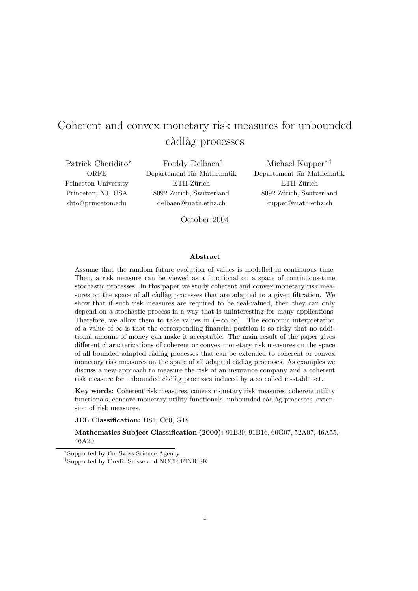# Coherent and convex monetary risk measures for unbounded càdlàg processes

Patrick Cheridito<sup>∗</sup> ORFE Princeton University Princeton, NJ, USA dito@princeton.edu

Freddy Delbaen† Departement für Mathematik ETH Zürich 8092 Zürich, Switzerland delbaen@math.ethz.ch

Michael Kupper<sup>∗</sup>,† Departement für Mathematik ETH Zürich 8092 Zürich, Switzerland kupper@math.ethz.ch

October 2004

#### Abstract

Assume that the random future evolution of values is modelled in continuous time. Then, a risk measure can be viewed as a functional on a space of continuous-time stochastic processes. In this paper we study coherent and convex monetary risk measures on the space of all càdlàg processes that are adapted to a given filtration. We show that if such risk measures are required to be real-valued, then they can only depend on a stochastic process in a way that is uninteresting for many applications. Therefore, we allow them to take values in  $(-\infty, \infty]$ . The economic interpretation of a value of  $\infty$  is that the corresponding financial position is so risky that no additional amount of money can make it acceptable. The main result of the paper gives different characterizations of coherent or convex monetary risk measures on the space of all bounded adapted càdlàg processes that can be extended to coherent or convex monetary risk measures on the space of all adapted càdlàg processes. As examples we discuss a new approach to measure the risk of an insurance company and a coherent risk measure for unbounded càdlàg processes induced by a so called m-stable set.

Key words: Coherent risk measures, convex monetary risk measures, coherent utility functionals, concave monetary utility functionals, unbounded càdlàg processes, extension of risk measures.

JEL Classification: D81, C60, G18

Mathematics Subject Classification (2000): 91B30, 91B16, 60G07, 52A07, 46A55, 46A20

<sup>∗</sup>Supported by the Swiss Science Agency

<sup>†</sup>Supported by Credit Suisse and NCCR-FINRISK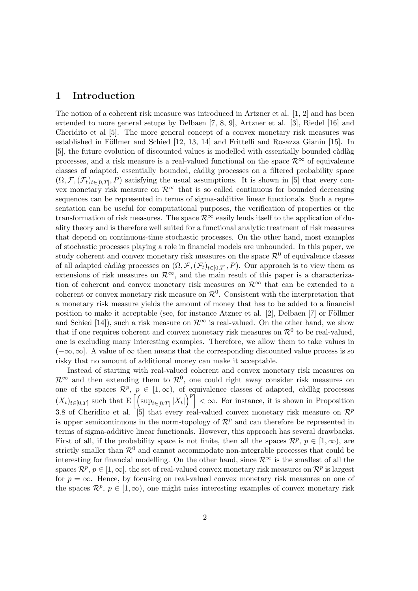## 1 Introduction

The notion of a coherent risk measure was introduced in Artzner et al. [1, 2] and has been extended to more general setups by Delbaen [7, 8, 9], Artzner et al. [3], Riedel [16] and Cheridito et al [5]. The more general concept of a convex monetary risk measures was established in Föllmer and Schied  $[12, 13, 14]$  and Frittelli and Rosazza Gianin  $[15]$ . In [5], the future evolution of discounted values is modelled with essentially bounded càdlàg processes, and a risk measure is a real-valued functional on the space  $\mathcal{R}^{\infty}$  of equivalence classes of adapted, essentially bounded, càdlàg processes on a filtered probability space  $(\Omega, \mathcal{F}, (\mathcal{F}_t)_{t\in[0,T]}, P)$  satisfying the usual assumptions. It is shown in [5] that every convex monetary risk measure on  $\mathcal{R}^{\infty}$  that is so called continuous for bounded decreasing sequences can be represented in terms of sigma-additive linear functionals. Such a representation can be useful for computational purposes, the verification of properties or the transformation of risk measures. The space  $\mathcal{R}^{\infty}$  easily lends itself to the application of duality theory and is therefore well suited for a functional analytic treatment of risk measures that depend on continuous-time stochastic processes. On the other hand, most examples of stochastic processes playing a role in financial models are unbounded. In this paper, we study coherent and convex monetary risk measures on the space  $\mathcal{R}^0$  of equivalence classes of all adapted càdlàg processes on  $(\Omega, \mathcal{F}, (\mathcal{F}_t)_{t\in[0,T]}, P)$ . Our approach is to view them as extensions of risk measures on  $\mathcal{R}^{\infty}$ , and the main result of this paper is a characterization of coherent and convex monetary risk measures on  $\mathcal{R}^{\infty}$  that can be extended to a coherent or convex monetary risk measure on  $\mathcal{R}^0$ . Consistent with the interpretation that a monetary risk measure yields the amount of money that has to be added to a financial position to make it acceptable (see, for instance Atzner et al.  $[2]$ , Delbaen  $[7]$  or Föllmer and Schied [14]), such a risk measure on  $\mathcal{R}^{\infty}$  is real-valued. On the other hand, we show that if one requires coherent and convex monetary risk measures on  $\mathcal{R}^0$  to be real-valued, one is excluding many interesting examples. Therefore, we allow them to take values in  $(-\infty, \infty]$ . A value of  $\infty$  then means that the corresponding discounted value process is so risky that no amount of additional money can make it acceptable.

Instead of starting with real-valued coherent and convex monetary risk measures on  $\mathcal{R}^{\infty}$  and then extending them to  $\mathcal{R}^{0}$ , one could right away consider risk measures on one of the spaces  $\mathcal{R}^p$ ,  $p \in [1, \infty)$ , of equivalence classes of adapted, càdlàg processes one of the spaces  $\mathcal{R}^r$ ,  $p \in [1,\infty)$ , or equivalence classes of adapted, cadiag processes  $(X_t)_{t \in [0,T]}$  such that  $\mathbb{E} \left[ \left( \sup_{t \in [0,T]} |X_t| \right)^p \right] < \infty$ . For instance, it is shown in Proposition 3.8 of Cheridito et al. [5] that every real-valued convex monetary risk measure on  $\mathcal{R}^p$ is upper semicontinuous in the norm-topology of  $\mathcal{R}^p$  and can therefore be represented in terms of sigma-additive linear functionals. However, this approach has several drawbacks. First of all, if the probability space is not finite, then all the spaces  $\mathcal{R}^p$ ,  $p \in [1,\infty)$ , are strictly smaller than  $\mathcal{R}^0$  and cannot accommodate non-integrable processes that could be interesting for financial modelling. On the other hand, since  $\mathcal{R}^{\infty}$  is the smallest of all the spaces  $\mathcal{R}^p$ ,  $p \in [1,\infty]$ , the set of real-valued convex monetary risk measures on  $\mathcal{R}^p$  is largest for  $p = \infty$ . Hence, by focusing on real-valued convex monetary risk measures on one of the spaces  $\mathcal{R}^p$ ,  $p \in [1,\infty)$ , one might miss interesting examples of convex monetary risk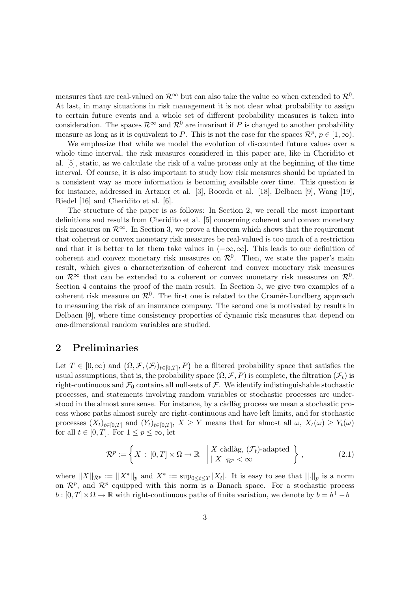measures that are real-valued on  $\mathcal{R}^{\infty}$  but can also take the value  $\infty$  when extended to  $\mathcal{R}^{0}$ . At last, in many situations in risk management it is not clear what probability to assign to certain future events and a whole set of different probability measures is taken into consideration. The spaces  $\mathcal{R}^{\infty}$  and  $\mathcal{R}^{0}$  are invariant if P is changed to another probability measure as long as it is equivalent to P. This is not the case for the spaces  $\mathcal{R}^p$ ,  $p \in [1,\infty)$ .

We emphasize that while we model the evolution of discounted future values over a whole time interval, the risk measures considered in this paper are, like in Cheridito et al. [5], static, as we calculate the risk of a value process only at the beginning of the time interval. Of course, it is also important to study how risk measures should be updated in a consistent way as more information is becoming available over time. This question is for instance, addressed in Artzner et al. [3], Roorda et al. [18], Delbaen [9], Wang [19], Riedel [16] and Cheridito et al. [6].

The structure of the paper is as follows: In Section 2, we recall the most important definitions and results from Cheridito et al. [5] concerning coherent and convex monetary risk measures on  $\mathcal{R}^{\infty}$ . In Section 3, we prove a theorem which shows that the requirement that coherent or convex monetary risk measures be real-valued is too much of a restriction and that it is better to let them take values in  $(-\infty, \infty]$ . This leads to our definition of coherent and convex monetary risk measures on  $\mathcal{R}^0$ . Then, we state the paper's main result, which gives a characterization of coherent and convex monetary risk measures on  $\mathcal{R}^{\infty}$  that can be extended to a coherent or convex monetary risk measures on  $\mathcal{R}^{0}$ . Section 4 contains the proof of the main result. In Section 5, we give two examples of a coherent risk measure on  $\mathcal{R}^0$ . The first one is related to the Cramér-Lundberg approach to measuring the risk of an insurance company. The second one is motivated by results in Delbaen [9], where time consistency properties of dynamic risk measures that depend on one-dimensional random variables are studied.

## 2 Preliminaries

Let  $T \in [0, \infty)$  and  $(\Omega, \mathcal{F}, (\mathcal{F}_t)_{t \in [0,T]}, P)$  be a filtered probability space that satisfies the usual assumptions, that is, the probability space  $(\Omega, \mathcal{F}, P)$  is complete, the filtration  $(\mathcal{F}_t)$  is right-continuous and  $\mathcal{F}_0$  contains all null-sets of  $\mathcal{F}$ . We identify indistinguishable stochastic processes, and statements involving random variables or stochastic processes are understood in the almost sure sense. For instance, by a càdlàg process we mean a stochastic process whose paths almost surely are right-continuous and have left limits, and for stochastic processes  $(X_t)_{t\in[0,T]}$  and  $(Y_t)_{t\in[0,T]}, X \geq Y$  means that for almost all  $\omega, X_t(\omega) \geq Y_t(\omega)$ for all  $t \in [0, T]$ . For  $1 \leq p \leq \infty$ , let

$$
\mathcal{R}^p := \left\{ X \,:\, [0,T] \times \Omega \to \mathbb{R} \,|\, \begin{array}{l} X \text{ c\`adl\`ag, } (\mathcal{F}_t) \text{-adapted} \\ ||X||_{\mathcal{R}^p} < \infty \end{array} \right\} ,\tag{2.1}
$$

where  $||X||_{\mathcal{R}^p} := ||X^*||_p$  and  $X^* := \sup_{0 \le t \le T} |X_t|$ . It is easy to see that  $||.||_p$  is a norm on  $\mathcal{R}^p$ , and  $\mathcal{R}^p$  equipped with this norm is a Banach space. For a stochastic process  $b : [0, T] \times \Omega \to \mathbb{R}$  with right-continuous paths of finite variation, we denote by  $b = b^+ - b^-$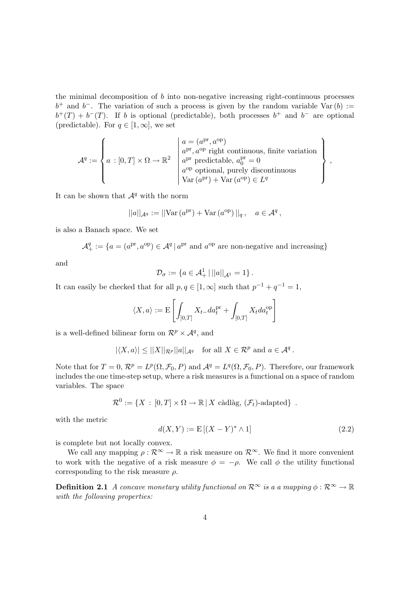the minimal decomposition of  $b$  into non-negative increasing right-continuous processes  $b^+$  and  $b^-$ . The variation of such a process is given by the random variable Var $(b) :=$  $b^{+}(T) + b^{-}(T)$ . If b is optional (predictable), both processes  $b^{+}$  and  $b^{-}$  are optional (predictable). For  $q \in [1,\infty]$ , we set

$$
\mathcal{A}^{q} := \left\{ a : [0, T] \times \Omega \to \mathbb{R}^{2} \middle| \begin{array}{l} a = (a^{\text{pr}}, a^{\text{op}}) \\ a^{\text{pr}}, a^{\text{op}} \text{ right continuous, finite variation} \\ a^{\text{pr}} \text{ predictable}, a_{0}^{\text{pr}} = 0 \\ a^{\text{op}} \text{ optional, purely discontinuous} \\ \text{Var}(a^{\text{pr}}) + \text{Var}(a^{\text{op}}) \in L^{q} \end{array} \right\},
$$

It can be shown that  $A^q$  with the norm

$$
||a||_{\mathcal{A}^q} := ||\text{Var}\,(a^{\text{pr}}) + \text{Var}\,(a^{\text{op}})||_q \,, \quad a \in \mathcal{A}^q \,,
$$

is also a Banach space. We set

$$
\mathcal{A}^q_+:=\{a=(a^{\mathrm{pr}},a^{\mathrm{op}})\in\mathcal{A}^q\,|\,a^{\mathrm{pr}}\text{ and }a^{\mathrm{op}}\text{ are non-negative and increasing}\}
$$

and

$$
\mathcal{D}_{\sigma} := \{ a \in \mathcal{A}^1_+ \, | \, ||a||_{\mathcal{A}^1} = 1 \} \, .
$$

It can easily be checked that for all  $p, q \in [1, \infty]$  such that  $p^{-1} + q^{-1} = 1$ ,

$$
\langle X,a\rangle:=\mathrm{E}\left[\int_{]0,T]}X_t\_{da}^\mathrm{pr}+\int_{[0,T]}X_t da^\mathrm{op}_t\right]
$$

is a well-defined bilinear form on  $\mathcal{R}^p \times \mathcal{A}^q$ , and

$$
|\langle X, a \rangle| \le ||X||_{\mathcal{R}^p} ||a||_{\mathcal{A}^q}
$$
 for all  $X \in \mathcal{R}^p$  and  $a \in \mathcal{A}^q$ .

Note that for  $T = 0$ ,  $\mathcal{R}^p = L^p(\Omega, \mathcal{F}_0, P)$  and  $\mathcal{A}^q = L^q(\Omega, \mathcal{F}_0, P)$ . Therefore, our framework includes the one time-step setup, where a risk measures is a functional on a space of random variables. The space

$$
\mathcal{R}^0 := \{ X : [0, T] \times \Omega \to \mathbb{R} \, | \, X \text{ c\`adl\`ag}, \, (\mathcal{F}_t)\text{-adapted} \} .
$$

with the metric

$$
d(X,Y) := \mathbb{E}[(X - Y)^* \wedge 1] \tag{2.2}
$$

is complete but not locally convex.

We call any mapping  $\rho : \mathcal{R}^{\infty} \to \mathbb{R}$  a risk measure on  $\mathcal{R}^{\infty}$ . We find it more convenient to work with the negative of a risk measure  $\phi = -\rho$ . We call  $\phi$  the utility functional corresponding to the risk measure  $\rho$ .

**Definition 2.1** A concave monetary utility functional on  $\mathbb{R}^{\infty}$  is a a mapping  $\phi : \mathbb{R}^{\infty} \to \mathbb{R}$ with the following properties: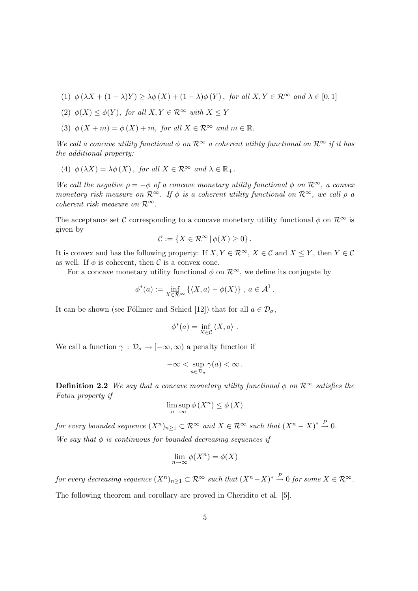- (1)  $\phi(\lambda X + (1 \lambda)Y) > \lambda \phi(X) + (1 \lambda) \phi(Y)$ , for all  $X, Y \in \mathbb{R}^{\infty}$  and  $\lambda \in [0, 1]$
- (2)  $\phi(X) \leq \phi(Y)$ , for all  $X, Y \in \mathcal{R}^{\infty}$  with  $X \leq Y$
- (3)  $\phi(X + m) = \phi(X) + m$ , for all  $X \in \mathcal{R}^{\infty}$  and  $m \in \mathbb{R}$ .

We call a concave utility functional  $\phi$  on  $\mathcal{R}^{\infty}$  a coherent utility functional on  $\mathcal{R}^{\infty}$  if it has the additional property:

(4)  $\phi(\lambda X) = \lambda \phi(X)$ , for all  $X \in \mathcal{R}^{\infty}$  and  $\lambda \in \mathbb{R}_+$ .

We call the negative  $\rho = -\phi$  of a concave monetary utility functional  $\phi$  on  $\mathcal{R}^{\infty}$ , a convex monetary risk measure on  $\mathcal{R}^{\infty}$ . If  $\phi$  is a coherent utility functional on  $\mathcal{R}^{\infty}$ , we call  $\rho$  a coherent risk measure on  $\mathcal{R}^{\infty}$ .

The acceptance set C corresponding to a concave monetary utility functional  $\phi$  on  $\mathcal{R}^{\infty}$  is given by

$$
\mathcal{C} := \{ X \in \mathcal{R}^{\infty} \, | \, \phi(X) \geq 0 \} \, .
$$

It is convex and has the following property: If  $X, Y \in \mathbb{R}^{\infty}$ ,  $X \in \mathcal{C}$  and  $X \leq Y$ , then  $Y \in \mathcal{C}$ as well. If  $\phi$  is coherent, then C is a convex cone.

For a concave monetary utility functional  $\phi$  on  $\mathcal{R}^{\infty}$ , we define its conjugate by

$$
\phi^*(a) := \inf_{X \in \mathcal{R}^{\infty}} \left\{ \langle X, a \rangle - \phi(X) \right\}, a \in \mathcal{A}^1.
$$

It can be shown (see Föllmer and Schied [12]) that for all  $a \in \mathcal{D}_{\sigma}$ ,

$$
\phi^*(a) = \inf_{X \in \mathcal{C}} \langle X, a \rangle.
$$

We call a function  $\gamma : \mathcal{D}_{\sigma} \to [-\infty, \infty)$  a penalty function if

$$
-\infty < \sup_{a \in \mathcal{D}_{\sigma}} \gamma(a) < \infty.
$$

**Definition 2.2** We say that a concave monetary utility functional  $\phi$  on  $\mathcal{R}^{\infty}$  satisfies the Fatou property if

$$
\limsup_{n \to \infty} \phi(X^n) \le \phi(X)
$$

for every bounded sequence  $(X^n)_{n\geq 1} \subset \mathcal{R}^\infty$  and  $X \in \mathcal{R}^\infty$  such that  $(X^n - X)^* \stackrel{P}{\to} 0$ .

We say that  $\phi$  is continuous for bounded decreasing sequences if

$$
\lim_{n \to \infty} \phi(X^n) = \phi(X)
$$

for every decreasing sequence  $(X^n)_{n\geq 1}\subset \mathcal{R}^\infty$  such that  $(X^n-X)^*\stackrel{P}{\to} 0$  for some  $X\in \mathcal{R}^\infty$  . The following theorem and corollary are proved in Cheridito et al. [5].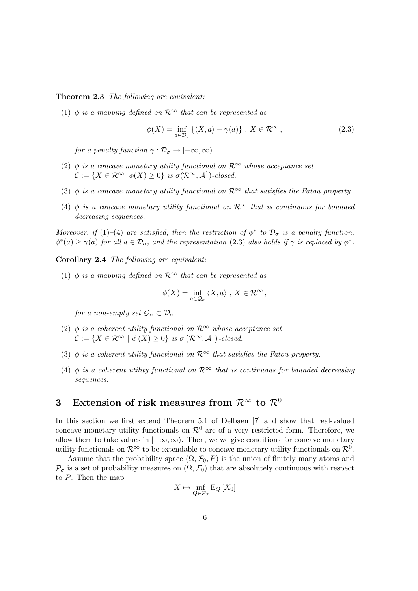Theorem 2.3 The following are equivalent:

(1)  $\phi$  is a mapping defined on  $\mathcal{R}^{\infty}$  that can be represented as

$$
\phi(X) = \inf_{a \in \mathcal{D}_{\sigma}} \left\{ \langle X, a \rangle - \gamma(a) \right\}, \ X \in \mathcal{R}^{\infty}, \tag{2.3}
$$

for a penalty function  $\gamma : \mathcal{D}_{\sigma} \to [-\infty, \infty)$ .

- (2)  $\phi$  is a concave monetary utility functional on  $\mathcal{R}^{\infty}$  whose acceptance set  $\mathcal{C} := \{ X \in \mathcal{R}^{\infty} \mid \phi(X) \geq 0 \}$  is  $\sigma(\mathcal{R}^{\infty}, \mathcal{A}^{1})$ -closed.
- (3)  $\phi$  is a concave monetary utility functional on  $\mathcal{R}^{\infty}$  that satisfies the Fatou property.
- (4) φ is a concave monetary utility functional on  $\mathcal{R}^{\infty}$  that is continuous for bounded decreasing sequences.

Moreover, if (1)–(4) are satisfied, then the restriction of  $\phi^*$  to  $\mathcal{D}_{\sigma}$  is a penalty function,  $\phi^*(a) \geq \gamma(a)$  for all  $a \in \mathcal{D}_{\sigma}$ , and the representation (2.3) also holds if  $\gamma$  is replaced by  $\phi^*$ .

Corollary 2.4 The following are equivalent:

(1)  $\phi$  is a mapping defined on  $\mathcal{R}^{\infty}$  that can be represented as

$$
\phi(X) = \inf_{a \in \mathcal{Q}_{\sigma}} \langle X, a \rangle , X \in \mathcal{R}^{\infty},
$$

for a non-empty set  $\mathcal{Q}_{\sigma} \subset \mathcal{D}_{\sigma}$ .

- (2)  $\phi$  is a coherent utility functional on  $\mathcal{R}^{\infty}$  whose acceptance set  $\mathcal{C} := \{ X \in \mathcal{R}^{\infty} \mid \phi(X) \geq 0 \}$  is  $\sigma(\mathcal{R}^{\infty}, \mathcal{A}^{1})$ -closed.
- (3)  $\phi$  is a coherent utility functional on  $\mathcal{R}^{\infty}$  that satisfies the Fatou property.
- (4)  $\phi$  is a coherent utility functional on  $\mathcal{R}^{\infty}$  that is continuous for bounded decreasing sequences.

## 3 Extension of risk measures from  $\mathcal{R}^{\infty}$  to  $\mathcal{R}^0$

In this section we first extend Theorem 5.1 of Delbaen [7] and show that real-valued concave monetary utility functionals on  $\mathcal{R}^0$  are of a very restricted form. Therefore, we allow them to take values in  $[-\infty, \infty)$ . Then, we we give conditions for concave monetary utility functionals on  $\mathcal{R}^{\infty}$  to be extendable to concave monetary utility functionals on  $\mathcal{R}^{0}$ .

Assume that the probability space  $(\Omega, \mathcal{F}_0, P)$  is the union of finitely many atoms and  $\mathcal{P}_{\sigma}$  is a set of probability measures on  $(\Omega, \mathcal{F}_0)$  that are absolutely continuous with respect to P. Then the map

$$
X \mapsto \inf_{Q \in \mathcal{P}_{\sigma}} \mathcal{E}_Q \left[ X_0 \right]
$$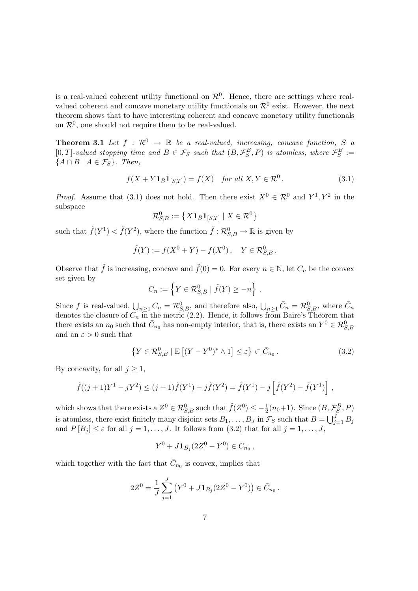is a real-valued coherent utility functional on  $\mathcal{R}^0$ . Hence, there are settings where realvalued coherent and concave monetary utility functionals on  $\mathcal{R}^0$  exist. However, the next theorem shows that to have interesting coherent and concave monetary utility functionals on  $\mathcal{R}^0$ , one should not require them to be real-valued.

**Theorem 3.1** Let  $f : \mathbb{R}^0 \to \mathbb{R}$  be a real-valued, increasing, concave function, S a [0, T]-valued stopping time and  $B \in \mathcal{F}_S$  such that  $(B, \mathcal{F}_S^B, P)$  is atomless, where  $\mathcal{F}_S^B :=$  $\{A \cap B \mid A \in \mathcal{F}_S\}$ . Then,

$$
f(X + Y1_B1_{[S,T]}) = f(X) \quad \text{for all } X, Y \in \mathcal{R}^0. \tag{3.1}
$$

*Proof.* Assume that (3.1) does not hold. Then there exist  $X^0 \in \mathcal{R}^0$  and  $Y^1, Y^2$  in the subspace ª

$$
\mathcal{R}_{S,B}^0 := \left\{ X \mathbf{1}_B \mathbf{1}_{[S,T]} \mid X \in \mathcal{R}^0 \right\}
$$

such that  $\tilde{f}(Y^1) < \tilde{f}(Y^2)$ , where the function  $\tilde{f}: \mathcal{R}_{S,B}^0 \to \mathbb{R}$  is given by

$$
\tilde{f}(Y) := f(X^0 + Y) - f(X^0), \quad Y \in \mathcal{R}_{S,B}^0.
$$

Observe that  $\tilde{f}$  is increasing, concave and  $\tilde{f}(0) = 0$ . For every  $n \in \mathbb{N}$ , let  $C_n$  be the convex set given by o

$$
C_n := \left\{ Y \in \mathcal{R}_{S,B}^0 \mid \tilde{f}(Y) \ge -n \right\}.
$$

Since f is real-valued,  $\bigcup_{n\geq 1} C_n = \mathcal{R}_{S,B}^0$ , and therefore also,  $\bigcup_{n\geq 1} \bar{C}_n = \mathcal{R}_{S,B}^0$ , where  $\bar{C}_n$ denotes the closure of  $C_n$  in the metric (2.2). Hence, it follows from Baire's Theorem that there exists an  $n_0$  such that  $\bar{C}_{n_0}$  has non-empty interior, that is, there exists an  $Y^0 \in \mathcal{R}_{S,B}^0$ and an  $\varepsilon > 0$  such that

$$
\left\{ Y \in \mathcal{R}_{S,B}^0 \mid E\left[ (Y - Y^0)^* \wedge 1 \right] \le \varepsilon \right\} \subset \bar{C}_{n_0} \,. \tag{3.2}
$$

By concavity, for all  $j \geq 1$ ,

$$
\tilde{f}((j+1)Y^1 - jY^2) \le (j+1)\tilde{f}(Y^1) - j\tilde{f}(Y^2) = \tilde{f}(Y^1) - j\left[\tilde{f}(Y^2) - \tilde{f}(Y^1)\right],
$$

which shows that there exists a  $Z^0 \in \mathcal{R}_{S,B}^0$  such that  $\tilde{f}(Z^0) \leq -\frac{1}{2}(n_0+1)$ . Since  $(B,\mathcal{F}_S^B,P)$ is atomless, there exist finitely many disjoint sets  $B_1, \ldots, B_J$  in  $\mathcal{F}_S$  such that  $B = \bigcup_{j=1}^J$  $j=1 \ B_j$ and  $P[B_j] \leq \varepsilon$  for all  $j = 1, ..., J$ . It follows from (3.2) that for all  $j = 1, ..., J$ ,

$$
Y^0 + J\mathbf{1}_{B_j}(2Z^0 - Y^0) \in \bar{C}_{n_0},
$$

which together with the fact that  $\bar{C}_{n_0}$  is convex, implies that

$$
2Z^{0} = \frac{1}{J} \sum_{j=1}^{J} (Y^{0} + J\mathbf{1}_{B_{j}}(2Z^{0} - Y^{0})) \in \bar{C}_{n_{0}}.
$$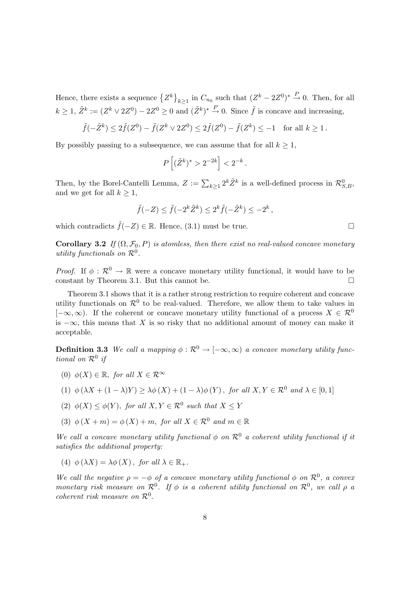Hence, there exists a sequence  $\{Z^k\}$  $k \geq 1$  in  $C_{n_0}$  such that  $(Z^k - 2Z^0)^* \stackrel{P}{\rightarrow} 0$ . Then, for all  $k \geq 1$ ,  $\tilde{Z}^k := (Z^k \vee 2Z^0) - 2Z^0 \geq 0$  and  $(\tilde{Z}^k)^* \stackrel{P}{\to} 0$ . Since  $\tilde{f}$  is concave and increasing,

$$
\tilde{f}(-\tilde{Z}^k) \le 2\tilde{f}(Z^0) - \tilde{f}(Z^k \vee 2Z^0) \le 2\tilde{f}(Z^0) - \tilde{f}(Z^k) \le -1 \quad \text{for all } k \ge 1.
$$

By possibly passing to a subsequence, we can assume that for all  $k \geq 1$ ,

$$
P\left[ (\tilde{Z}^k)^* > 2^{-2k} \right] < 2^{-k}.
$$

Then, by the Borel-Cantelli Lemma,  $Z := \sum_{k \geq 1} 2^k \tilde{Z}^k$  is a well-defined process in  $\mathcal{R}_{S,B}^0$ , and we get for all  $k \geq 1$ ,

$$
\tilde{f}(-Z) \le \tilde{f}(-2^k \tilde{Z}^k) \le 2^k \tilde{f}(-\tilde{Z}^k) \le -2^k,
$$

which contradicts  $\tilde{f}(-Z) \in \mathbb{R}$ . Hence, (3.1) must be true.  $\Box$ 

**Corollary 3.2** If  $(\Omega, \mathcal{F}_0, P)$  is atomless, then there exist no real-valued concave monetary utility functionals on  $\mathcal{R}^0$ .

*Proof.* If  $\phi : \mathcal{R}^0 \to \mathbb{R}$  were a concave monetary utility functional, it would have to be constant by Theorem 3.1. But this cannot be.  $\Box$ 

Theorem 3.1 shows that it is a rather strong restriction to require coherent and concave utility functionals on  $\mathcal{R}^0$  to be real-valued. Therefore, we allow them to take values in  $[-\infty, \infty)$ . If the coherent or concave monetary utility functional of a process  $X \in \mathcal{R}^0$ is  $-\infty$ , this means that X is so risky that no additional amount of money can make it acceptable.

**Definition 3.3** We call a mapping  $\phi : \mathcal{R}^0 \to [-\infty, \infty)$  a concave monetary utility functional on  $\mathcal{R}^0$  if

- (0)  $\phi(X) \in \mathbb{R}$ , for all  $X \in \mathcal{R}^{\infty}$
- (1)  $\phi(\lambda X + (1 \lambda)Y) > \lambda \phi(X) + (1 \lambda) \phi(Y)$ , for all  $X, Y \in \mathcal{R}^0$  and  $\lambda \in [0, 1]$
- (2)  $\phi(X) \leq \phi(Y)$ , for all  $X, Y \in \mathcal{R}^0$  such that  $X \leq Y$
- (3)  $\phi(X + m) = \phi(X) + m$ , for all  $X \in \mathcal{R}^0$  and  $m \in \mathbb{R}$

We call a concave monetary utility functional  $\phi$  on  $\mathcal{R}^0$  a coherent utility functional if it satisfies the additional property:

(4)  $\phi(\lambda X) = \lambda \phi(X)$ , for all  $\lambda \in \mathbb{R}_+$ .

We call the negative  $\rho = -\phi$  of a concave monetary utility functional  $\phi$  on  $\mathcal{R}^0$ , a convex monetary risk measure on  $\mathcal{R}^0$ . If  $\phi$  is a coherent utility functional on  $\mathcal{R}^0$ , we call  $\rho$  a coherent risk measure on  $\mathcal{R}^0$ .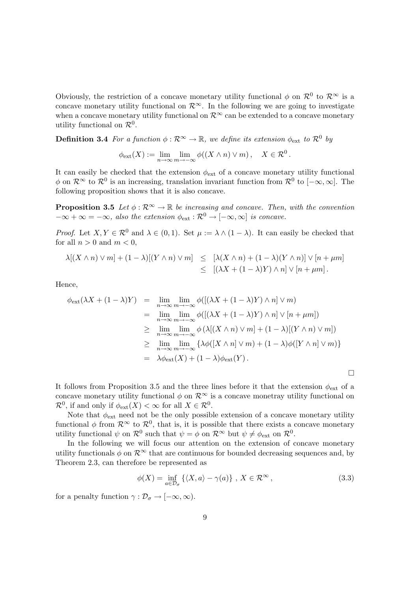Obviously, the restriction of a concave monetary utility functional  $\phi$  on  $\mathcal{R}^0$  to  $\mathcal{R}^\infty$  is a concave monetary utility functional on  $\mathcal{R}^{\infty}$ . In the following we are going to investigate when a concave monetary utility functional on  $\mathcal{R}^{\infty}$  can be extended to a concave monetary utility functional on  $\mathcal{R}^0$ .

**Definition 3.4** For a function  $\phi : \mathcal{R}^{\infty} \to \mathbb{R}$ , we define its extension  $\phi_{ext}$  to  $\mathcal{R}^0$  by

$$
\phi_{\text{ext}}(X) := \lim_{n \to \infty} \lim_{m \to -\infty} \phi((X \wedge n) \vee m), \quad X \in \mathcal{R}^0.
$$

It can easily be checked that the extension  $\phi_{ext}$  of a concave monetary utility functional  $\phi$  on  $\mathcal{R}^{\infty}$  to  $\mathcal{R}^{0}$  is an increasing, translation invariant function from  $\mathcal{R}^{0}$  to  $[-\infty,\infty]$ . The following proposition shows that it is also concave.

**Proposition 3.5** Let  $\phi : \mathbb{R}^{\infty} \to \mathbb{R}$  be increasing and concave. Then, with the convention  $-\infty + \infty = -\infty$ , also the extension  $\phi_{ext} : \mathcal{R}^0 \to [-\infty, \infty]$  is concave.

*Proof.* Let  $X, Y \in \mathcal{R}^0$  and  $\lambda \in (0, 1)$ . Set  $\mu := \lambda \wedge (1 - \lambda)$ . It can easily be checked that for all  $n > 0$  and  $m < 0$ ,

$$
\lambda[(X \wedge n) \vee m] + (1 - \lambda)[(Y \wedge n) \vee m] \leq [\lambda(X \wedge n) + (1 - \lambda)(Y \wedge n)] \vee [n + \mu m]
$$
  

$$
\leq [(\lambda X + (1 - \lambda)Y) \wedge n] \vee [n + \mu m].
$$

Hence,

$$
\phi_{\text{ext}}(\lambda X + (1 - \lambda)Y) = \lim_{n \to \infty} \lim_{m \to -\infty} \phi([(\lambda X + (1 - \lambda)Y) \wedge n] \vee m)
$$
  
\n
$$
= \lim_{n \to \infty} \lim_{m \to -\infty} \phi([(\lambda X + (1 - \lambda)Y) \wedge n] \vee [n + \mu m])
$$
  
\n
$$
\geq \lim_{n \to \infty} \lim_{m \to -\infty} \phi(\lambda[(X \wedge n) \vee m] + (1 - \lambda)[(Y \wedge n) \vee m])
$$
  
\n
$$
\geq \lim_{n \to \infty} \lim_{m \to -\infty} {\lambda \phi([X \wedge n] \vee m) + (1 - \lambda) \phi([Y \wedge n] \vee m)}
$$
  
\n
$$
= \lambda \phi_{\text{ext}}(X) + (1 - \lambda) \phi_{\text{ext}}(Y).
$$

It follows from Proposition 3.5 and the three lines before it that the extension  $\phi_{\text{ext}}$  of a concave monetary utility functional  $\phi$  on  $\mathcal{R}^{\infty}$  is a concave monetray utility functional on  $\mathcal{R}^0$ , if and only if  $\phi_{ext}(X) < \infty$  for all  $X \in \mathcal{R}^0$ .

Note that  $\phi_{\text{ext}}$  need not be the only possible extension of a concave monetary utility functional  $\phi$  from  $\mathcal{R}^{\infty}$  to  $\mathcal{R}^{0}$ , that is, it is possible that there exists a concave monetary utility functional  $\psi$  on  $\mathcal{R}^0$  such that  $\psi = \phi$  on  $\mathcal{R}^{\infty}$  but  $\psi \neq \phi_{ext}$  on  $\mathcal{R}^0$ .

In the following we will focus our attention on the extension of concave monetary utility functionals  $\phi$  on  $\mathcal{R}^{\infty}$  that are continuous for bounded decreasing sequences and, by Theorem 2.3, can therefore be represented as

$$
\phi(X) = \inf_{a \in \mathcal{D}_{\sigma}} \left\{ \langle X, a \rangle - \gamma(a) \right\}, \ X \in \mathcal{R}^{\infty}, \tag{3.3}
$$

¤

for a penalty function  $\gamma : \mathcal{D}_{\sigma} \to [-\infty, \infty)$ .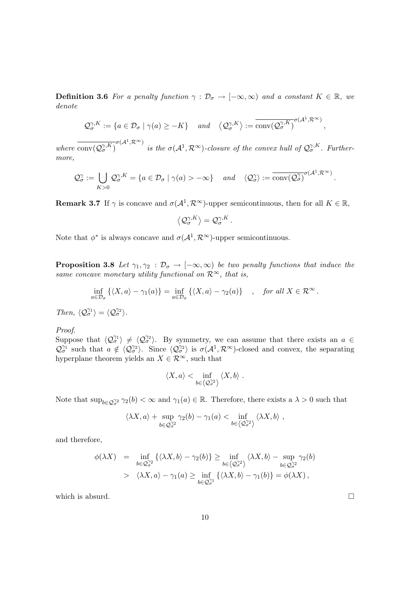**Definition 3.6** For a penalty function  $\gamma : \mathcal{D}_{\sigma} \to [-\infty, \infty)$  and a constant  $K \in \mathbb{R}$ , we denote

$$
\mathcal{Q}_{\sigma}^{\gamma,K} := \{ a \in \mathcal{D}_{\sigma} \mid \gamma(a) \ge -K \} \quad \text{and} \quad \left\langle \mathcal{Q}_{\sigma}^{\gamma,K} \right\rangle := \overline{\text{conv}(\mathcal{Q}_{\sigma}^{\gamma,K})}^{\sigma(\mathcal{A}^1,\mathcal{R}^{\infty})}
$$

where  $\text{conv}(\mathcal{Q}_{\sigma}^{\gamma,K})$  $\sigma(A^1,\mathcal{R}^{\infty})$  is the  $\sigma(\mathcal{A}^1,\mathcal{R}^{\infty})$ -closure of the convex hull of  $\mathcal{Q}_{\sigma}^{\gamma,K}$ . Furthermore,

$$
\mathcal{Q}_{\sigma}^{\gamma} := \bigcup_{K>0} \mathcal{Q}_{\sigma}^{\gamma,K} = \{ a \in \mathcal{D}_{\sigma} \mid \gamma(a) > -\infty \} \quad and \quad \langle \mathcal{Q}_{\sigma}^{\gamma} \rangle := \overline{\text{conv}(\mathcal{Q}_{\sigma}^{\gamma})}^{\sigma(\mathcal{A}^1,\mathcal{R}^{\infty})}.
$$

**Remark 3.7** If  $\gamma$  is concave and  $\sigma(A^1, \mathcal{R}^{\infty})$ -upper semicontinuous, then for all  $K \in \mathbb{R}$ ,

$$
\left\langle \mathcal{Q}_{\sigma}^{\gamma,K}\right\rangle =\mathcal{Q}_{\sigma}^{\gamma,K}.
$$

Note that  $\phi^*$  is always concave and  $\sigma(\mathcal{A}^1, \mathcal{R}^{\infty})$ -upper semicontinuous.

**Proposition 3.8** Let  $\gamma_1, \gamma_2 : \mathcal{D}_{\sigma} \to [-\infty, \infty)$  be two penalty functions that induce the same concave monetary utility functional on  $\mathcal{R}^{\infty}$ , that is,

$$
\inf_{a\in\mathcal{D}_{\sigma}}\left\{ \langle X,a\rangle-\gamma_1(a)\right\} = \inf_{a\in\mathcal{D}_{\sigma}}\left\{ \langle X,a\rangle-\gamma_2(a)\right\} \quad , \quad \text{for all } X\in\mathcal{R}^{\infty} \, .
$$

Then,  $\langle \mathcal{Q}_{\sigma}^{\gamma_1} \rangle = \langle \mathcal{Q}_{\sigma}^{\gamma_2} \rangle$ .

#### Proof.

Suppose that  $\langle \mathcal{Q}_{\sigma}^{\gamma_1} \rangle \neq \langle \mathcal{Q}_{\sigma}^{\gamma_2} \rangle$ . By symmetry, we can assume that there exists an  $a \in$  $\mathcal{Q}_{\sigma}^{\gamma_1}$  such that  $a \notin \langle \mathcal{Q}_{\sigma}^{\gamma_2} \rangle$ . Since  $\langle \mathcal{Q}_{\sigma}^{\gamma_2} \rangle$  is  $\sigma(\mathcal{A}^1, \mathcal{R}^{\infty})$ -closed and convex, the separating hyperplane theorem yields an  $X \in \mathbb{R}^{\infty}$ , such that

$$
\langle X, a \rangle < \inf_{b \in \langle \mathcal{Q}_{\sigma}^{\gamma_2} \rangle} \langle X, b \rangle.
$$

Note that  $\sup_{b\in Q_{\sigma}^{\gamma_2}} \gamma_2(b) < \infty$  and  $\gamma_1(a) \in \mathbb{R}$ . Therefore, there exists a  $\lambda > 0$  such that

$$
\langle \lambda X, a \rangle + \sup_{b \in \mathcal{Q}^{\gamma_2}_{\sigma}} \gamma_2(b) - \gamma_1(a) < \inf_{b \in \langle \mathcal{Q}^{\gamma_2}_{\sigma} \rangle} \langle \lambda X, b \rangle \;,
$$

and therefore,

$$
\begin{array}{rcl}\n\phi(\lambda X) & = & \inf_{b \in \mathcal{Q}_{\sigma}^{\gamma_2}} \left\{ \langle \lambda X, b \rangle - \gamma_2(b) \right\} \ge \inf_{b \in \left\langle \mathcal{Q}_{\sigma}^{\gamma_2} \right\rangle} \left\langle \lambda X, b \right\rangle - \sup_{b \in \mathcal{Q}_{\sigma}^{\gamma_2}} \gamma_2(b) \\
& > & \left\langle \lambda X, a \right\rangle - \gamma_1(a) \ge \inf_{b \in \mathcal{Q}_{\sigma}^{\gamma_1}} \left\{ \langle \lambda X, b \rangle - \gamma_1(b) \right\} = \phi(\lambda X)\,,\n\end{array}
$$

which is absurd.  $\Box$ 

,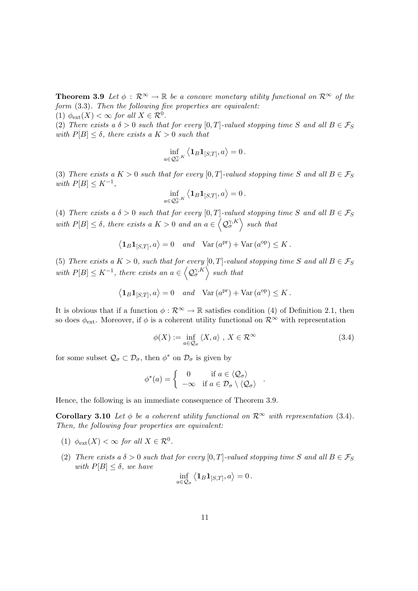**Theorem 3.9** Let  $\phi : \mathbb{R}^{\infty} \to \mathbb{R}$  be a concave monetary utility functional on  $\mathbb{R}^{\infty}$  of the form (3.3). Then the following five properties are equivalent:

(1)  $\phi_{ext}(X) < \infty$  for all  $X \in \mathcal{R}^0$ .

(2) There exists a  $\delta > 0$  such that for every [0, T]-valued stopping time S and all  $B \in \mathcal{F}_S$ with  $P[B] \leq \delta$ , there exists a  $K > 0$  such that

$$
\inf_{a\in\mathcal{Q}_\sigma^{\gamma,K}}\left\langle\mathbf{1}_B\mathbf{1}_{[S,T]},a\right\rangle=0\,.
$$

(3) There exists a  $K > 0$  such that for every [0, T]-valued stopping time S and all  $B \in \mathcal{F}_S$ with  $P[B] \leq K^{-1}$ ,  $\overline{1}$ 

$$
\inf_{a\in\mathcal{Q}_\sigma^{\gamma,R}}\left\langle\mathbf{1}_B\mathbf{1}_{[S,T]},a\right\rangle=0\,.
$$

(4) There exists a  $\delta > 0$  such that for every  $[0, T]$ -valued stopping time S and all  $B \in \mathcal{F}_S$ with  $P[B] \leq \delta$ , there exists a  $K > 0$  and an  $a \in \left\langle \mathcal{Q}_{\sigma}^{\gamma,K} \right\rangle$  such that

$$
\langle \mathbf{1}_B \mathbf{1}_{[S,T]}, a \rangle = 0
$$
 and  $\text{Var}(a^{\text{pr}}) + \text{Var}(a^{\text{op}}) \leq K$ .

(5) There exists a  $K > 0$ , such that for every [0, T]-valued stopping time S and all  $B \in \mathcal{F}_S$ with  $P[B] \leq K^{-1}$ , there exists an  $a \in \left\langle \mathcal{Q}_{\sigma}^{\gamma,K} \right\rangle$  such that

$$
\langle \mathbf{1}_B \mathbf{1}_{[S,T]}, a \rangle = 0
$$
 and  $\text{Var}(a^{\text{pr}}) + \text{Var}(a^{\text{op}}) \leq K$ .

It is obvious that if a function  $\phi : \mathbb{R}^{\infty} \to \mathbb{R}$  satisfies condition (4) of Definition 2.1, then so does  $\phi_{ext}$ . Moreover, if  $\phi$  is a coherent utility functional on  $\mathcal{R}^{\infty}$  with representation

$$
\phi(X) := \inf_{a \in \mathcal{Q}_{\sigma}} \langle X, a \rangle, X \in \mathcal{R}^{\infty}
$$
\n(3.4)

.

for some subset  $\mathcal{Q}_{\sigma} \subset \mathcal{D}_{\sigma}$ , then  $\phi^*$  on  $\mathcal{D}_{\sigma}$  is given by

$$
\phi^*(a) = \begin{cases} 0 & \text{if } a \in \langle \mathcal{Q}_\sigma \rangle \\ -\infty & \text{if } a \in \mathcal{D}_\sigma \setminus \langle \mathcal{Q}_\sigma \rangle \end{cases}
$$

Hence, the following is an immediate consequence of Theorem 3.9.

Corollary 3.10 Let  $\phi$  be a coherent utility functional on  $\mathcal{R}^{\infty}$  with representation (3.4). Then, the following four properties are equivalent:

- (1)  $\phi_{ext}(X) < \infty$  for all  $X \in \mathcal{R}^0$ .
- (2) There exists a  $\delta > 0$  such that for every [0, T]-valued stopping time S and all  $B \in \mathcal{F}_S$ with  $P[B] \leq \delta$ , we have  $\overline{1}$

$$
\inf_{a\in\mathcal{Q}_{\sigma}}\left\langle\mathbf{1}_B\mathbf{1}_{[S,T]},a\right\rangle=0.
$$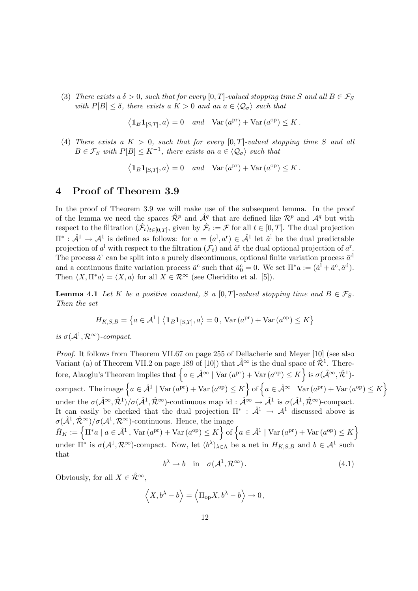(3) There exists a  $\delta > 0$ , such that for every [0, T]-valued stopping time S and all  $B \in \mathcal{F}_S$ with  $P[B] \leq \delta$ , there exists a  $K > 0$  and an  $a \in \langle \mathcal{Q}_{\sigma} \rangle$  such that

> $\overline{1}$  $\mathbf{1}_B \mathbf{1}_{[S,T]}, a \rangle = 0$  and  $\text{Var}(a^{\text{pr}}) + \text{Var}(a^{\text{op}}) \leq K$ .

(4) There exists a  $K > 0$ , such that for every [0, T]-valued stopping time S and all  $B \in \mathcal{F}_S$  with  $P[B] \leq K^{-1}$ , there exists an  $a \in \langle \mathcal{Q}_{\sigma} \rangle$  such that

> $\overline{1}$  $\mathbf{1}_B \mathbf{1}_{[S,T]}, a \rangle = 0$  and  $\text{Var}(a^{\text{pr}}) + \text{Var}(a^{\text{op}}) \leq K$ .

## 4 Proof of Theorem 3.9

In the proof of Theorem 3.9 we will make use of the subsequent lemma. In the proof of the lemma we need the spaces  $\hat{\mathcal{R}}^p$  and  $\hat{\mathcal{A}}^q$  that are defined like  $\mathcal{R}^p$  and  $\mathcal{A}^q$  but with respect to the filtration  $(\hat{\mathcal{F}}_t)_{t\in[0,T]}$ , given by  $\hat{\mathcal{F}}_t := \mathcal{F}$  for all  $t \in [0,T]$ . The dual projection  $\Pi^*: \hat{\mathcal{A}}^1 \to \mathcal{A}^1$  is defined as follows: for  $a = (a^1, a^r) \in \hat{\mathcal{A}}^1$  let  $\tilde{a}^1$  be the dual predictable projection of  $a^I$  with respect to the filtration  $(\mathcal{F}_t)$  and  $\tilde{a}^r$  the dual optional projection of  $a^r$ . The process  $\tilde{a}^{\text{r}}$  can be split into a purely discontinuous, optional finite variation process  $\tilde{a}^{\text{d}}$ and a continuous finite variation process  $\tilde{a}^c$  such that  $\tilde{a}_0^c = 0$ . We set  $\Pi^* a := (\tilde{a}^1 + \tilde{a}^c, \tilde{a}^d)$ . Then  $\langle X, \Pi^* a \rangle = \langle X, a \rangle$  for all  $X \in \mathcal{R}^{\infty}$  (see Cheridito et al. [5]).

**Lemma 4.1** Let K be a positive constant, S a [0, T]-valued stopping time and  $B \in \mathcal{F}_S$ . Then the set

$$
H_{K,S,B} = \left\{ a \in \mathcal{A}^1 \mid \left\langle \mathbf{1}_B \mathbf{1}_{[S,T]}, a \right\rangle = 0, \text{Var}\left(a^{\text{pr}}\right) + \text{Var}\left(a^{\text{op}}\right) \le K \right\}
$$

is  $\sigma(\mathcal{A}^1,\mathcal{R}^\infty)$ -compact.

Proof. It follows from Theorem VII.67 on page 255 of Dellacherie and Meyer [10] (see also Variant (a) of Theorem VII.2 on page 189 of [10]) that  $\hat{\mathcal{A}}^{\infty}$  is the dual space of  $\hat{\mathcal{R}}^1$ . Therevariant (a) of Theorem VIL2 on page 189 of [10]) that  $\mathcal{A}^{\infty}$  is the qual space of  $\mathcal{R}^{\infty}$ . There-<br>fore, Alaoglu's Theorem implies that  $\left\{a \in \hat{\mathcal{A}}^{\infty} \mid \text{Var}\left(a^{\text{pr}}\right) + \text{Var}\left(a^{\text{op}}\right) \leq K\right\}$  is  $\sigma(\$ compact. The image  $\{a \in \hat{\mathcal{A}}^1 \mid \text{Var}(a^{\text{pr}}) + \text{Var}(a^{\text{op}}) \leq K\}$  of  $\{a \in \hat{\mathcal{A}}^{\infty} \mid \text{Var}(a^{\text{pr}}) + \text{Var}(a^{\text{op}}) \leq K\}$ o o under the  $\sigma(\hat{\mathcal{A}}^{\infty}, \hat{\mathcal{R}}^{1})/\sigma(\hat{\mathcal{A}}^{1}, \hat{\mathcal{R}}^{\infty})$ -continuous map id:  $\hat{\mathcal{A}}^{\infty} \to \hat{\mathcal{A}}^{1}$  is  $\sigma(\hat{\mathcal{A}}^{1}, \hat{\mathcal{R}}^{\infty})$ -compact. It can easily be checked that the dual projection  $\Pi^*$ :  $\hat{\mathcal{A}}^1 \to \mathcal{A}^1$  discussed above is  $\sigma(\hat{\mathcal{A}}^1, \hat{\mathcal{R}}^{\infty})/\sigma(\mathcal{A}^1, \mathcal{R}^{\infty})$ -continuous. Hence, the image  $\tilde{H}_K := \left\{ \Pi^* a \mid a \in \hat{\mathcal{A}}^1, \text{Var}(a^{\text{pr}}) + \text{Var}(a^{\text{op}}) \leq K \right\} \text{ of } \left\{ a \in \hat{\mathcal{A}}^1 \mid \text{Var}(a^{\text{pr}}) + \text{Var}(a^{\text{op}}) \leq K \right\}$ o under  $\Pi^*$  is  $\sigma(A^1, \mathcal{R}^{\infty})$ -compact. Now, let  $(b^{\lambda})_{\lambda \in \Lambda}$  be a net in  $H_{K,S,B}$  and  $b \in \mathcal{A}^1$  such that

$$
b^{\lambda} \to b \quad \text{in} \quad \sigma(\mathcal{A}^1, \mathcal{R}^{\infty}). \tag{4.1}
$$

Obviously, for all  $X \in \hat{\mathcal{R}}^{\infty}$ .

$$
\langle X, b^{\lambda} - b \rangle = \langle \Pi_{op} X, b^{\lambda} - b \rangle \to 0,
$$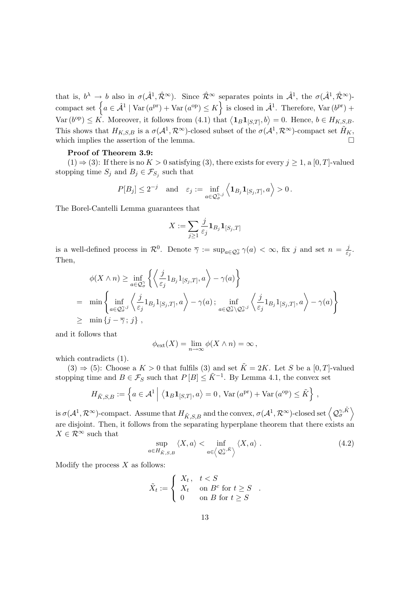that is,  $b^{\lambda} \to b$  also in  $\sigma(\hat{\mathcal{A}}^1, \hat{\mathcal{R}}^{\infty})$ . Since  $\hat{\mathcal{R}}^{\infty}$  separates points in  $\hat{\mathcal{A}}^1$ , the  $\sigma(\hat{\mathcal{A}}^1, \hat{\mathcal{R}}^{\infty})$ that is,  $\delta^{\gamma} \to \delta$  also in  $\sigma(\mathcal{A}^*, \mathcal{K}^{\infty})$ . Since  $\mathcal{K}^{\infty}$  separates points in  $\mathcal{A}^{\infty}$ , the  $\sigma(\mathcal{A}^*, \mathcal{K}^{\infty})$ -<br>compact set  $\{a \in \hat{\mathcal{A}}^1 \mid \text{Var}(a^{\text{pr}}) + \text{Var}(a^{\text{op}}) \leq K\}$  is closed in  $\hat{\$ Var  $(b^{op}) \le K$ . Moreover, it follows from (4.1) that  $\langle \mathbf{1}_B \mathbf{1}_{[S,T]}, b \rangle = 0$ . Hence,  $b \in H_{K,S,B}$ . This shows that  $H_{K,S,B}$  is a  $\sigma(\mathcal{A}^1,\mathcal{R}^\infty)$ -closed subset of the  $\sigma(\mathcal{A}^1,\mathcal{R}^\infty)$ -compact set  $\tilde{H}_K$ , which implies the assertion of the lemma.  $\Box$ 

#### Proof of Theorem 3.9:

(1)  $\Rightarrow$  (3): If there is no  $K > 0$  satisfying (3), there exists for every  $j \ge 1$ , a [0, T]-valued stopping time  $S_j$  and  $B_j \in \mathcal{F}_{S_j}$  such that

$$
P[B_j] \le 2^{-j}
$$
 and  $\varepsilon_j := \inf_{a \in \mathcal{Q}_\sigma^{\gamma,j}} \left\langle \mathbf{1}_{B_j} \mathbf{1}_{[S_j,T]}, a \right\rangle > 0.$ 

The Borel-Cantelli Lemma guarantees that

$$
X:=\sum_{j\geq 1}\frac{j}{\varepsilon_j}\mathbf{1}_{B_j}\mathbf{1}_{[S_j,T]}
$$

is a well-defined process in  $\mathcal{R}^0$ . Denote  $\overline{\gamma} := \sup_{a \in \mathcal{Q}^{\gamma}_{\sigma}} \gamma(a) < \infty$ , fix j and set  $n = \frac{j}{\varepsilon}$ .  $\frac{j}{\varepsilon_j}$ . Then,

$$
\phi(X \wedge n) \ge \inf_{a \in \mathcal{Q}_{\sigma}^{\gamma}} \left\{ \left\langle \frac{j}{\varepsilon_{j}} 1_{B_{j}} 1_{[S_{j},T]}, a \right\rangle - \gamma(a) \right\}
$$
  
\n
$$
= \min \left\{ \inf_{a \in \mathcal{Q}_{\sigma}^{\gamma,j}} \left\langle \frac{j}{\varepsilon_{j}} 1_{B_{j}} 1_{[S_{j},T]}, a \right\rangle - \gamma(a) ; \inf_{a \in \mathcal{Q}_{\sigma}^{\gamma}\setminus\mathcal{Q}_{\sigma}^{\gamma,j}} \left\langle \frac{j}{\varepsilon_{j}} 1_{B_{j}} 1_{[S_{j},T]}, a \right\rangle - \gamma(a) \right\}
$$
  
\n
$$
\ge \min \left\{ j - \overline{\gamma} ; j \right\},
$$

and it follows that

$$
\phi_{\text{ext}}(X) = \lim_{n \to \infty} \phi(X \wedge n) = \infty,
$$

which contradicts (1).

 $(3) \Rightarrow (5)$ : Choose a  $K > 0$  that fulfils (3) and set  $\tilde{K} = 2K$ . Let S be a [0, T]-valued stopping time and  $B \in \mathcal{F}_S$  such that  $P[B] \leq \tilde{K}^{-1}$ . By Lemma 4.1, the convex set

$$
H_{\tilde{K},S,B} := \left\{ a \in \mathcal{A}^1 \middle| \langle \mathbf{1}_B \mathbf{1}_{[S,T]}, a \rangle = 0, \text{Var}\left(a^{\text{pr}}\right) + \text{Var}\left(a^{\text{op}}\right) \leq \tilde{K} \right\},\
$$

is  $\sigma(\mathcal{A}^1,\mathcal{R}^\infty)$ -compact. Assume that  $H_{\tilde{K},S,B}$  and the convex,  $\sigma(\mathcal{A}^1,\mathcal{R}^\infty)$ -closed set  $\left\langle \mathcal{Q}^{\gamma,\tilde{K}}_\sigma\right\rangle$  $\mathbf{r}$ are disjoint. Then, it follows from the separating hyperplane theorem that there exists an  $X \in \mathcal{R}^{\infty}$  such that

$$
\sup_{a \in H_{\tilde{K},S,B}} \langle X, a \rangle < \inf_{a \in \left\langle \mathcal{Q}_{\sigma}^{\gamma,\tilde{K}} \right\rangle} \langle X, a \rangle . \tag{4.2}
$$

Modify the process  $X$  as follows:

$$
\tilde{X}_t := \begin{cases}\nX_t, & t < S \\
X_t & \text{on } B^c \text{ for } t \ge S \\
0 & \text{on } B \text{ for } t \ge S\n\end{cases}.
$$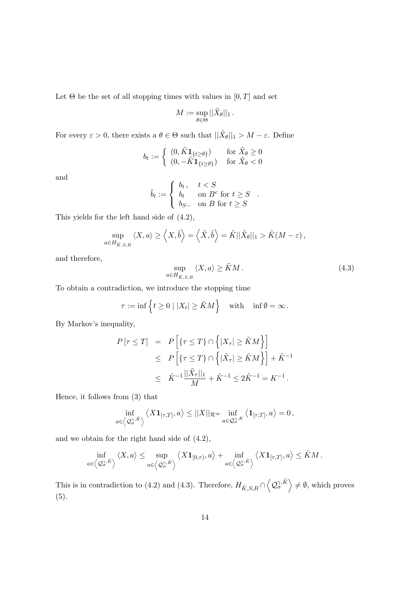Let  $\Theta$  be the set of all stopping times with values in  $[0, T]$  and set

$$
M:=\sup_{\theta\in\Theta}||\tilde{X}_{\theta}||_1.
$$

For every  $\varepsilon > 0$ , there exists a  $\theta \in \Theta$  such that  $||\tilde{X}_{\theta}||_1 > M - \varepsilon$ . Define

$$
b_t := \begin{cases} (0, \tilde{K} \mathbf{1}_{\{t \ge \theta\}}) & \text{for } \tilde{X}_{\theta} \ge 0\\ (0, -\tilde{K} \mathbf{1}_{\{t \ge \theta\}}) & \text{for } \tilde{X}_{\theta} < 0 \end{cases}
$$

and

$$
\tilde{b}_t := \begin{cases} b_t, & t < S \\ b_t & \text{on } B^c \text{ for } t \ge S \\ b_{S-} & \text{on } B \text{ for } t \ge S \end{cases}
$$

This yields for the left hand side of (4.2),

$$
\sup_{a\in H_{\tilde{K},S,B}}\langle X,a\rangle\geq \langle X,\tilde{b}\rangle=\langle \tilde{X},\tilde{b}\rangle=\tilde{K}||\tilde{X}_{\theta}||_1>\tilde{K}(M-\varepsilon),
$$

and therefore,

$$
\sup_{a \in H_{\tilde{K},S,B}} \langle X, a \rangle \ge \tilde{K}M. \tag{4.3}
$$

.

To obtain a contradiction, we introduce the stopping time

$$
\tau := \inf \left\{ t \ge 0 \mid |X_t| \ge \tilde{K}M \right\} \quad \text{with} \quad \inf \emptyset = \infty \, .
$$

By Markov's inequality,

$$
P[\tau \leq T] = P\left[\{\tau \leq T\} \cap \left\{|X_{\tau}| \geq \tilde{K}M\right\}\right]
$$
  
\n
$$
\leq P\left[\{\tau \leq T\} \cap \left\{|X_{\tau}| \geq \tilde{K}M\right\}\right] + \tilde{K}^{-1}
$$
  
\n
$$
\leq \tilde{K}^{-1}\frac{||\tilde{X}_{\tau}||_1}{M} + \tilde{K}^{-1} \leq 2\tilde{K}^{-1} = K^{-1}.
$$

Hence, it follows from (3) that

$$
\inf_{a\in\left\langle \mathcal{Q}_{\sigma}^{\gamma,\tilde{K}}\right\rangle }\left\langle X\mathbf{1}_{[\tau,T]},a\right\rangle \leq||X||_{\mathcal{R}^{\infty}}\inf_{a\in\mathcal{Q}_{\sigma}^{\gamma,K}}\left\langle \mathbf{1}_{[\tau,T]},a\right\rangle =0\,,
$$

and we obtain for the right hand side of (4.2),

$$
\inf_{a\in\left\langle \mathcal{Q}_{\sigma}^{\gamma,\tilde{K}}\right\rangle }\left\langle X,a\right\rangle \leq\sup_{a\in\left\langle \mathcal{Q}_{\sigma}^{\gamma,\tilde{K}}\right\rangle }\left\langle X\mathbf{1}_{[0,\tau)},a\right\rangle +\inf_{a\in\left\langle \mathcal{Q}_{\sigma}^{\gamma,\tilde{K}}\right\rangle }\left\langle X\mathbf{1}_{[\tau,T]},a\right\rangle \leq\tilde{K}M\,.
$$

This is in contradiction to (4.2) and (4.3). Therefore,  $H_{\tilde{K},S,B} \cap$  $\overline{a}$  $\mathcal{Q}_{\sigma}^{\gamma,\tilde{K}}$  $\mathbf{r}$  $\neq \emptyset$ , which proves (5).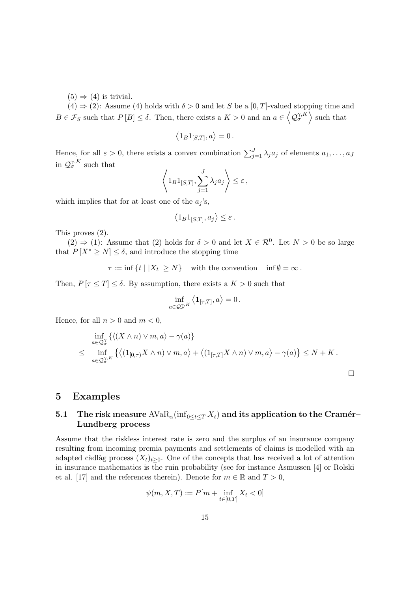$(5) \Rightarrow (4)$  is trivial.

 $(4) \Rightarrow (2)$ : Assume (4) holds with  $\delta > 0$  and let S be a [0, T]-valued stopping time and  $B \in \mathcal{F}_S$  such that  $P[B] \leq \delta$ . Then, there exists a  $K > 0$  and an  $a \in \left\langle \mathcal{Q}_{\sigma}^{\gamma,K} \right\rangle$  such that

$$
\langle 1_B 1_{[S,T]}, a \rangle = 0.
$$

Hence, for all  $\varepsilon > 0$ , there exists a convex combination  $\sum_{j=1}^{J} \lambda_j a_j$  of elements  $a_1, \ldots, a_J$ in  $\mathcal{Q}_{\sigma}^{\gamma,K}$  such that  $\overline{a}$  $\mathbf{r}$ 

$$
\left\langle 1_B 1_{[S,T]}, \sum_{j=1}^J \lambda_j a_j \right\rangle \leq \varepsilon,
$$

which implies that for at least one of the  $a_j$ 's,

$$
\langle 1_B 1_{[S,T]}, a_j \rangle \le \varepsilon.
$$

This proves (2).

 $(2) \Rightarrow (1)$ : Assume that  $(2)$  holds for  $\delta > 0$  and let  $X \in \mathcal{R}^0$ . Let  $N > 0$  be so large that  $P[X^* \geq N] \leq \delta$ , and introduce the stopping time

$$
\tau := \inf \{ t \mid |X_t| \ge N \} \quad \text{with the convention} \quad \inf \emptyset = \infty \, .
$$

Then,  $P[\tau \leq T] \leq \delta$ . By assumption, there exists a  $K > 0$  such that

$$
\inf_{a\in\mathcal{Q}_{\sigma}^{\gamma,K}}\left\langle \mathbf{1}_{[\tau,T]},a\right\rangle =0.
$$

Hence, for all  $n > 0$  and  $m < 0$ ,

$$
\inf_{a\in\mathcal{Q}^{\gamma}_{\sigma}} \{ \langle (X\wedge n) \vee m, a \rangle - \gamma(a) \}
$$
\n
$$
\leq \inf_{a\in\mathcal{Q}^{\gamma,K}_{\sigma}} \{ \langle (1_{[0,\tau)}X\wedge n) \vee m, a \rangle + \langle (1_{[\tau,T]}X\wedge n) \vee m, a \rangle - \gamma(a) \} \leq N + K.
$$

 $\Box$ 

#### 5 Examples

### 5.1 The risk measure  $AVaR_{\alpha}(\inf_{0\leq t\leq T}X_t)$  and its application to the Cramér– Lundberg process

Assume that the riskless interest rate is zero and the surplus of an insurance company resulting from incoming premia payments and settlements of claims is modelled with an adapted càdlàg process  $(X_t)_{t\geq 0}$ . One of the concepts that has received a lot of attention in insurance mathematics is the ruin probability (see for instance Asmussen [4] or Rolski et al. [17] and the references therein). Denote for  $m \in \mathbb{R}$  and  $T > 0$ ,

$$
\psi(m,X,T):=P[m+\inf_{t\in[0,T]}X_t<0]
$$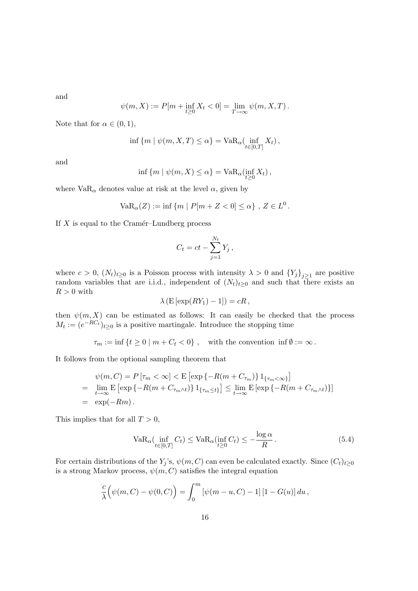and

$$
\psi(m, X) := P[m + \inf_{t \ge 0} X_t < 0] = \lim_{T \to \infty} \psi(m, X, T).
$$

Note that for  $\alpha \in (0,1)$ ,

$$
\inf \{ m \mid \psi(m, X, T) \le \alpha \} = \text{VaR}_{\alpha}(\inf_{t \in [0, T]} X_t),
$$

and

$$
\inf \{ m \mid \psi(m, X) \le \alpha \} = \text{VaR}_{\alpha}(\inf_{t \ge 0} X_t),
$$

where  $VaR_{\alpha}$  denotes value at risk at the level  $\alpha$ , given by

$$
VaR_{\alpha}(Z) := \inf \{ m \mid P[m + Z < 0] \le \alpha \}, Z \in L^0.
$$

If  $X$  is equal to the Cramér–Lundberg process

$$
C_t = ct - \sum_{j=1}^{N_t} Y_j,
$$

where  $c > 0$ ,  $(N_t)_{t\geq 0}$  is a Poisson process with intensity  $\lambda > 0$  and  ${Y_j}_{j\geq 1}$  are positive random variables that are i.i.d., independent of  $(N_t)_{t\geq 0}$  and such that there exists an  $R > 0$  with

$$
\lambda \left( \mathbf{E} \left[ \exp(RY_1) - 1 \right] \right) = cR \,,
$$

then  $\psi(m, X)$  can be estimated as follows: It can easily be checked that the process  $M_t := (e^{-RC_t})_{t \geq 0}$  is a positive martingale. Introduce the stopping time

$$
\tau_m := \inf \{ t \ge 0 \mid m + C_t < 0 \}, \quad \text{with the convention in } \mathfrak{f} \mathfrak{h} := \infty \, .
$$

It follows from the optional sampling theorem that

$$
\psi(m, C) = P\left[\tau_m < \infty\right] < \mathbf{E}\left[\exp\left\{-R(m + C_{\tau_m})\right\} \mathbf{1}_{\{\tau_m < \infty\}}\right]
$$
\n
$$
= \lim_{t \to \infty} \mathbf{E}\left[\exp\left\{-R(m + C_{\tau_m \wedge t})\right\} \mathbf{1}_{\{\tau_m \le t\}}\right] \le \lim_{t \to \infty} \mathbf{E}\left[\exp\left\{-R(m + C_{\tau_m \wedge t})\right\}\right]
$$
\n
$$
= \exp(-Rm).
$$

This implies that for all  $T > 0$ ,

$$
\text{VaR}_{\alpha}(\inf_{t \in [0,T]} C_t) \le \text{VaR}_{\alpha}(\inf_{t \ge 0} C_t) \le -\frac{\log \alpha}{R} \,. \tag{5.4}
$$

For certain distributions of the Y<sub>j</sub>'s,  $\psi(m, C)$  can even be calculated exactly. Since  $(C_t)_{t>0}$ is a strong Markov process,  $\psi(m, C)$  satisfies the integral equation

$$
\frac{c}{\lambda} (\psi(m, C) - \psi(0, C)) = \int_0^m [\psi(m - u, C) - 1][1 - G(u)] du,
$$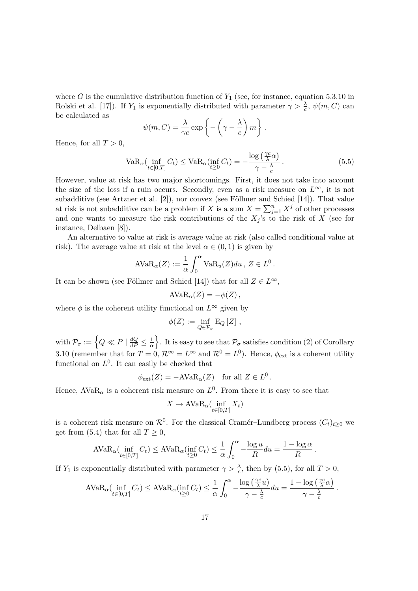where G is the cumulative distribution function of  $Y_1$  (see, for instance, equation 5.3.10 in Rolski et al. [17]). If  $Y_1$  is exponentially distributed with parameter  $\gamma > \frac{\lambda}{c}$ ,  $\psi(m, C)$  can be calculated as  $\overline{a}$  $\mathbf{r}$  $\ddot{\phantom{0}}$ 

$$
\psi(m, C) = \frac{\lambda}{\gamma c} \exp \left\{-\left(\gamma - \frac{\lambda}{c}\right)m\right\}.
$$

Hence, for all  $T > 0$ ,

$$
VaR_{\alpha}(\inf_{t \in [0,T]} C_t) \le VaR_{\alpha}(\inf_{t \ge 0} C_t) = -\frac{\log\left(\frac{\gamma c}{\lambda} \alpha\right)}{\gamma - \frac{\lambda}{c}}.
$$
\n(5.5)

However, value at risk has two major shortcomings. First, it does not take into account the size of the loss if a ruin occurs. Secondly, even as a risk measure on  $L^{\infty}$ , it is not subadditive (see Artzner et al.  $[2]$ ), nor convex (see Föllmer and Schied  $[14]$ ). That value subadditive (see Artzhef et al. [2]), not convex (see Folliner and Schled [14]). That value at risk is not subadditive can be a problem if X is a sum  $X = \sum_{j=1}^{n} X^j$  of other processes and one wants to measure the risk contributions of the  $X_j$ 's to the risk of X (see for instance, Delbaen [8]).

An alternative to value at risk is average value at risk (also called conditional value at risk). The average value at risk at the level  $\alpha \in (0,1)$  is given by

$$
AVaR_{\alpha}(Z) := \frac{1}{\alpha} \int_0^{\alpha} VaR_u(Z)du, Z \in L^0.
$$

It can be shown (see Föllmer and Schied [14]) that for all  $Z \in L^{\infty}$ ,

$$
\text{AVaR}_{\alpha}(Z) = -\phi(Z)\,,
$$

where  $\phi$  is the coherent utility functional on  $L^{\infty}$  given by

$$
\phi(Z):=\inf_{Q\in\mathcal{P}_{\sigma}}\mathrm{E}_{Q}\left[Z\right]\,,
$$

with  $\mathcal{P}_{\sigma} := \left\{ Q \ll P \mid \frac{dQ}{dP} \leq \frac{1}{\alpha} \right\}$ α o . It is easy to see that  $P_{\sigma}$  satisfies condition (2) of Corollary 3.10 (remember that for  $T=0$ ,  $\mathcal{R}^{\infty}=L^{\infty}$  and  $\mathcal{R}^{0}=L^{0}$ ). Hence,  $\phi_{ext}$  is a coherent utility functional on  $L^0$ . It can easily be checked that

$$
\phi_{\text{ext}}(Z) = -\text{AVaR}_{\alpha}(Z) \quad \text{for all } Z \in L^0.
$$

Hence,  $AVaR_{\alpha}$  is a coherent risk measure on  $L^{0}$ . From there it is easy to see that

$$
X \mapsto \text{AVaR}_{\alpha}(\inf_{t \in [0,T]} X_t)
$$

is a coherent risk measure on  $\mathcal{R}^0$ . For the classical Cramér–Lundberg process  $(C_t)_{t\geq0}$  we get from (5.4) that for all  $T \geq 0$ ,

$$
\text{AVaR}_{\alpha}(\inf_{t\in[0,T]} C_t) \leq \text{AVaR}_{\alpha}(\inf_{t\geq 0} C_t) \leq \frac{1}{\alpha} \int_0^{\alpha} -\frac{\log u}{R} du = \frac{1-\log \alpha}{R}.
$$

If  $Y_1$  is exponentially distributed with parameter  $\gamma > \frac{\lambda}{c}$ , then by (5.5), for all  $T > 0$ ,

$$
AVaR_{\alpha}(\inf_{t\in[0,T]}C_t) \leq AVaR_{\alpha}(\inf_{t\geq 0}C_t) \leq \frac{1}{\alpha}\int_0^{\alpha} -\frac{\log\left(\frac{\gamma c}{\lambda}u\right)}{\gamma-\frac{\lambda}{c}}du = \frac{1-\log\left(\frac{\gamma c}{\lambda}\alpha\right)}{\gamma-\frac{\lambda}{c}}.
$$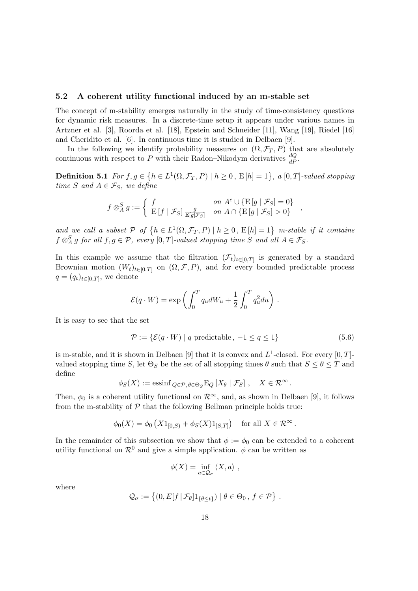#### 5.2 A coherent utility functional induced by an m-stable set

The concept of m-stability emerges naturally in the study of time-consistency questions for dynamic risk measures. In a discrete-time setup it appears under various names in Artzner et al. [3], Roorda et al. [18], Epstein and Schneider [11], Wang [19], Riedel [16] and Cheridito et al. [6]. In continuous time it is studied in Delbaen [9].

In the following we identify probability measures on  $(\Omega, \mathcal{F}_T, P)$  that are absolutely continuous with respect to P with their Radon–Nikodym derivatives  $\frac{dQ}{dP}$ .

Definition 5.1 For  $f, g \in$ ©  $h \in L^1(\Omega, \mathcal{F}_T, P) \mid h \ge 0$ ,  $E[h] = 1$ , a  $[0, T]$ -valued stopping time S and  $A \in \mathcal{F}_S$ , we define

$$
f \otimes_A^S g := \begin{cases} f & \text{on } A^c \cup \{E[g \mid \mathcal{F}_S] = 0\} \\ E[f \mid \mathcal{F}_S] \frac{g}{E[g|\mathcal{F}_S]} & \text{on } A \cap \{E[g \mid \mathcal{F}_S] > 0\} \end{cases}
$$

and we call a subset  $P$  of  $\{h \in L^1(\Omega, \mathcal{F}_T, P) \mid h \ge 0, E[h] = 1\}$  m-stable if it contains  $f \otimes_A^S g$  for all  $f, g \in \mathcal{P}$ , every  $[0, T]$ -valued stopping time S and all  $A \in \mathcal{F}_S$ .

In this example we assume that the filtration  $(\mathcal{F}_t)_{t\in[0,T]}$  is generated by a standard Brownian motion  $(W_t)_{t\in[0,T]}$  on  $(\Omega,\mathcal{F},P)$ , and for every bounded predictable process  $q = (q_t)_{t \in [0,T]},$  we denote

$$
\mathcal{E}(q \cdot W) = \exp\left(\int_0^T q_u dW_u + \frac{1}{2} \int_0^T q_u^2 du\right).
$$

It is easy to see that the set

$$
\mathcal{P} := \{ \mathcal{E}(q \cdot W) \mid q \text{ predictable}, -1 \le q \le 1 \}
$$
\n
$$
(5.6)
$$

,

is m-stable, and it is shown in Delbaen [9] that it is convex and  $L^1$ -closed. For every [0, T]valued stopping time S, let  $\Theta_S$  be the set of all stopping times  $\theta$  such that  $S \leq \theta \leq T$  and define

$$
\phi_S(X) := \operatorname{essinf}_{Q \in \mathcal{P}, \theta \in \Theta_S} E_Q \left[ X_\theta \mid \mathcal{F}_S \right], \quad X \in \mathcal{R}^\infty.
$$

Then,  $\phi_0$  is a coherent utility functional on  $\mathcal{R}^{\infty}$ , and, as shown in Delbaen [9], it follows from the m-stability of  $P$  that the following Bellman principle holds true:

$$
\phi_0(X) = \phi_0(X1_{[0,S)} + \phi_S(X)1_{[S,T]})
$$
 for all  $X \in \mathbb{R}^{\infty}$ .

In the remainder of this subsection we show that  $\phi := \phi_0$  can be extended to a coherent utility functional on  $\mathcal{R}^0$  and give a simple application.  $\phi$  can be written as

$$
\phi(X) = \inf_{a \in \mathcal{Q}_{\sigma}} \langle X, a \rangle ,
$$

where

$$
\mathcal{Q}_{\sigma} := \left\{ (0, E[f | \mathcal{F}_{\theta}] 1_{\{\theta \leq t\}}) | \theta \in \Theta_0, f \in \mathcal{P} \right\}.
$$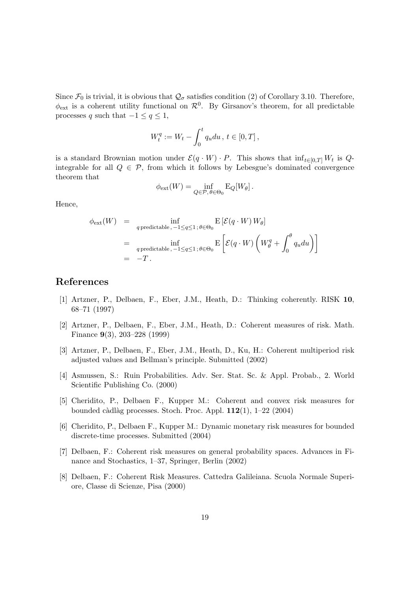Since  $\mathcal{F}_0$  is trivial, it is obvious that  $\mathcal{Q}_{\sigma}$  satisfies condition (2) of Corollary 3.10. Therefore,  $\phi_{\text{ext}}$  is a coherent utility functional on  $\mathcal{R}^0$ . By Girsanov's theorem, for all predictable processes q such that  $-1 \le q \le 1$ ,

$$
W_t^q := W_t - \int_0^t q_u du, \, t \in [0, T],
$$

is a standard Brownian motion under  $\mathcal{E}(q \cdot W) \cdot P$ . This shows that  $\inf_{t \in [0,T]} W_t$  is  $Q$ integrable for all  $Q \in \mathcal{P}$ , from which it follows by Lebesgue's dominated convergence theorem that

$$
\phi_{\text{ext}}(W) = \inf_{Q \in \mathcal{P}, \theta \in \Theta_0} E_Q[W_\theta].
$$

Hence,

$$
\phi_{\text{ext}}(W) = \inf_{q \text{ predictable}, -1 \le q \le 1; \theta \in \Theta_0} E\left[\mathcal{E}(q \cdot W) W_{\theta}\right]
$$
  
= 
$$
\inf_{q \text{ predictable}, -1 \le q \le 1; \theta \in \Theta_0} E\left[\mathcal{E}(q \cdot W) \left(W_{\theta}^q + \int_0^{\theta} q_u du\right)\right]
$$
  
= 
$$
-T.
$$

## References

- [1] Artzner, P., Delbaen, F., Eber, J.M., Heath, D.: Thinking coherently. RISK 10, 68–71 (1997)
- [2] Artzner, P., Delbaen, F., Eber, J.M., Heath, D.: Coherent measures of risk. Math. Finance 9(3), 203–228 (1999)
- [3] Artzner, P., Delbaen, F., Eber, J.M., Heath, D., Ku, H.: Coherent multiperiod risk adjusted values and Bellman's principle. Submitted (2002)
- [4] Asmussen, S.: Ruin Probabilities. Adv. Ser. Stat. Sc. & Appl. Probab., 2. World Scientific Publishing Co. (2000)
- [5] Cheridito, P., Delbaen F., Kupper M.: Coherent and convex risk measures for bounded càdlàg processes. Stoch. Proc. Appl.  $112(1)$ , 1–22 (2004)
- [6] Cheridito, P., Delbaen F., Kupper M.: Dynamic monetary risk measures for bounded discrete-time processes. Submitted (2004)
- [7] Delbaen, F.: Coherent risk measures on general probability spaces. Advances in Finance and Stochastics, 1–37, Springer, Berlin (2002)
- [8] Delbaen, F.: Coherent Risk Measures. Cattedra Galileiana. Scuola Normale Superiore, Classe di Scienze, Pisa (2000)